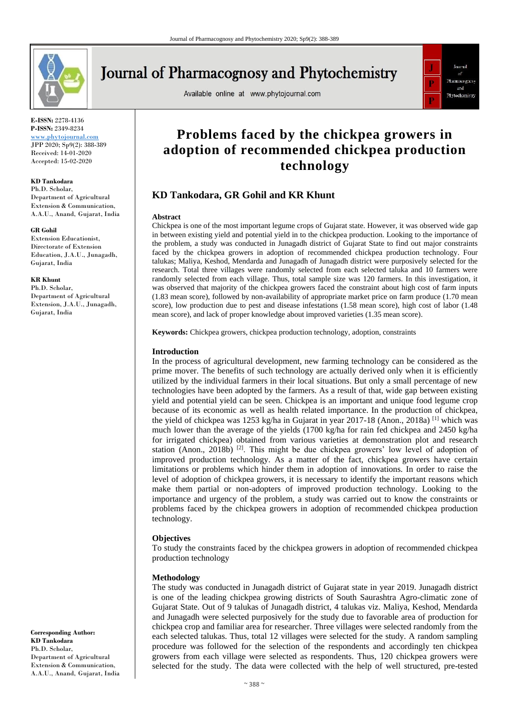

# **Journal of Pharmacognosy and Phytochemistry**

Available online at www.phytojournal.com



**E-ISSN:** 2278-4136 **P-ISSN:** 2349-8234 <www.phytojournal.com>

JPP 2020; Sp9(2): 388-389 Received: 14-01-2020 Accepted: 15-02-2020

### **KD Tankodara**

Ph.D. Scholar, Department of Agricultural Extension & Communication, A.A.U., Anand, Gujarat, India

#### **GR Gohil**

Extension Educationist, Directorate of Extension Education, J.A.U., Junagadh, Gujarat, India

#### **KR Khunt**

Ph.D. Scholar, Department of Agricultural Extension, J.A.U., Junagadh, Gujarat, India

**Corresponding Author: KD Tankodara** Ph.D. Scholar, Department of Agricultural Extension & Communication, A.A.U., Anand, Gujarat, India

## **Problems faced by the chickpea growers in adoption of recommended chickpea production technology**

## **KD Tankodara, GR Gohil and KR Khunt**

#### **Abstract**

Chickpea is one of the most important legume crops of Gujarat state. However, it was observed wide gap in between existing yield and potential yield in to the chickpea production. Looking to the importance of the problem, a study was conducted in Junagadh district of Gujarat State to find out major constraints faced by the chickpea growers in adoption of recommended chickpea production technology. Four talukas; Maliya, Keshod, Mendarda and Junagadh of Junagadh district were purposively selected for the research. Total three villages were randomly selected from each selected taluka and 10 farmers were randomly selected from each village. Thus, total sample size was 120 farmers. In this investigation, it was observed that majority of the chickpea growers faced the constraint about high cost of farm inputs (1.83 mean score), followed by non-availability of appropriate market price on farm produce (1.70 mean score), low production due to pest and disease infestations (1.58 mean score), high cost of labor (1.48 mean score), and lack of proper knowledge about improved varieties (1.35 mean score).

**Keywords:** Chickpea growers, chickpea production technology, adoption, constraints

#### **Introduction**

In the process of agricultural development, new farming technology can be considered as the prime mover. The benefits of such technology are actually derived only when it is efficiently utilized by the individual farmers in their local situations. But only a small percentage of new technologies have been adopted by the farmers. As a result of that, wide gap between existing yield and potential yield can be seen. Chickpea is an important and unique food legume crop because of its economic as well as health related importance. In the production of chickpea, the yield of chickpea was 1253 kg/ha in Gujarat in year 2017-18 (Anon., 2018a) <sup>[1]</sup> which was much lower than the average of the yields (1700 kg/ha for rain fed chickpea and 2450 kg/ha for irrigated chickpea) obtained from various varieties at demonstration plot and research station (Anon., 2018b)  $[2]$ . This might be due chickpea growers' low level of adoption of improved production technology. As a matter of the fact, chickpea growers have certain limitations or problems which hinder them in adoption of innovations. In order to raise the level of adoption of chickpea growers, it is necessary to identify the important reasons which make them partial or non-adopters of improved production technology. Looking to the importance and urgency of the problem, a study was carried out to know the constraints or problems faced by the chickpea growers in adoption of recommended chickpea production technology.

#### **Objectives**

To study the constraints faced by the chickpea growers in adoption of recommended chickpea production technology

#### **Methodology**

The study was conducted in Junagadh district of Gujarat state in year 2019. Junagadh district is one of the leading chickpea growing districts of South Saurashtra Agro-climatic zone of Gujarat State. Out of 9 talukas of Junagadh district, 4 talukas viz. Maliya, Keshod, Mendarda and Junagadh were selected purposively for the study due to favorable area of production for chickpea crop and familiar area for researcher. Three villages were selected randomly from the each selected talukas. Thus, total 12 villages were selected for the study. A random sampling procedure was followed for the selection of the respondents and accordingly ten chickpea growers from each village were selected as respondents. Thus, 120 chickpea growers were selected for the study. The data were collected with the help of well structured, pre-tested